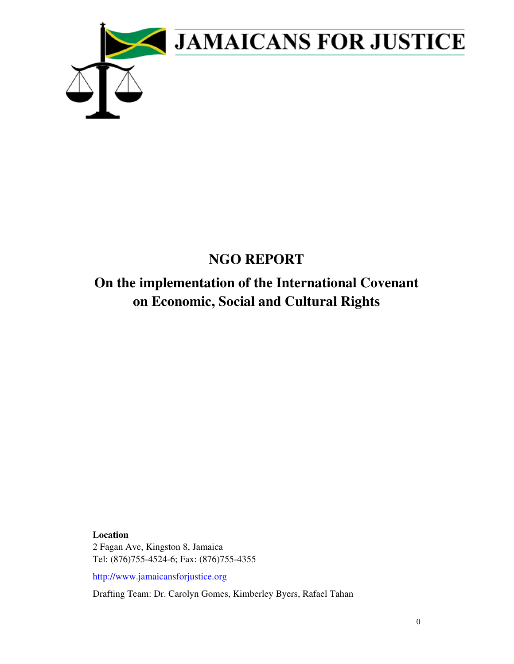

# **NGO REPORT**

# **On the implementation of the International Covenant on Economic, Social and Cultural Rights**

**Location**  2 Fagan Ave, Kingston 8, Jamaica Tel: (876)755-4524-6; Fax: (876)755-4355

http://www.jamaicansforjustice.org

Drafting Team: Dr. Carolyn Gomes, Kimberley Byers, Rafael Tahan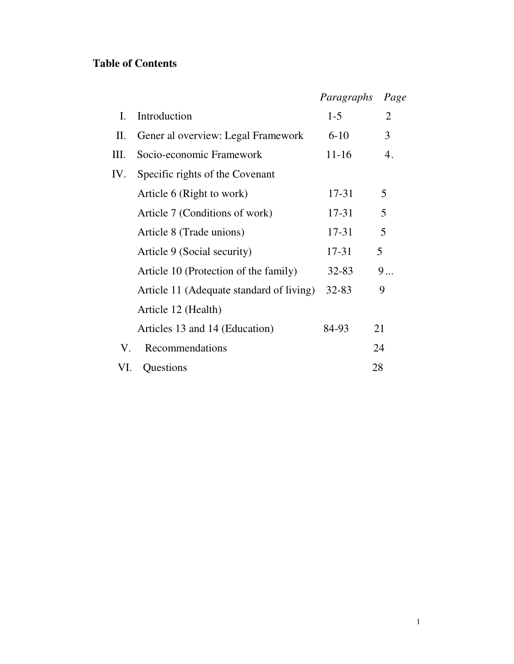# **Table of Contents**

|     |                                          | Paragraphs      | Page           |  |
|-----|------------------------------------------|-----------------|----------------|--|
| Ι.  | Introduction                             | $1-5$           | $\overline{2}$ |  |
| II. | Gener al overview: Legal Framework       | $6 - 10$        | 3              |  |
| Ш.  | Socio-economic Framework                 | $11 - 16$<br>4. |                |  |
| IV. | Specific rights of the Covenant          |                 |                |  |
|     | Article 6 (Right to work)                | 17-31           | 5              |  |
|     | Article 7 (Conditions of work)           | 17-31           | 5              |  |
|     | Article 8 (Trade unions)                 | 17-31           | 5              |  |
|     | Article 9 (Social security)              | 17-31           | 5              |  |
|     | Article 10 (Protection of the family)    | $32 - 83$       | 9              |  |
|     | Article 11 (Adequate standard of living) | $32 - 83$       | 9              |  |
|     | Article 12 (Health)                      |                 |                |  |
|     | Articles 13 and 14 (Education)           | 84-93           | 21             |  |
| V.  | Recommendations                          |                 | 24             |  |
| VI. | Questions                                |                 | 28             |  |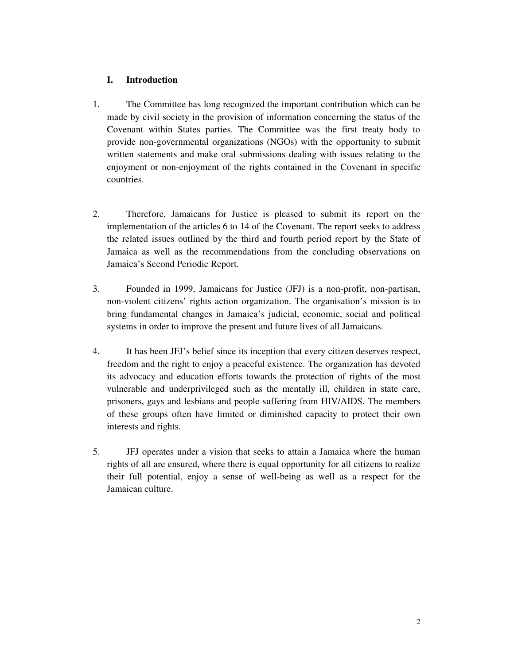# **I. Introduction**

- 1. The Committee has long recognized the important contribution which can be made by civil society in the provision of information concerning the status of the Covenant within States parties. The Committee was the first treaty body to provide non-governmental organizations (NGOs) with the opportunity to submit written statements and make oral submissions dealing with issues relating to the enjoyment or non-enjoyment of the rights contained in the Covenant in specific countries.
- 2. Therefore, Jamaicans for Justice is pleased to submit its report on the implementation of the articles 6 to 14 of the Covenant. The report seeks to address the related issues outlined by the third and fourth period report by the State of Jamaica as well as the recommendations from the concluding observations on Jamaica's Second Periodic Report.
- 3. Founded in 1999, Jamaicans for Justice (JFJ) is a non-profit, non-partisan, non-violent citizens' rights action organization. The organisation's mission is to bring fundamental changes in Jamaica's judicial, economic, social and political systems in order to improve the present and future lives of all Jamaicans.
- 4. It has been JFJ's belief since its inception that every citizen deserves respect, freedom and the right to enjoy a peaceful existence. The organization has devoted its advocacy and education efforts towards the protection of rights of the most vulnerable and underprivileged such as the mentally ill, children in state care, prisoners, gays and lesbians and people suffering from HIV/AIDS. The members of these groups often have limited or diminished capacity to protect their own interests and rights.
- 5. JFJ operates under a vision that seeks to attain a Jamaica where the human rights of all are ensured, where there is equal opportunity for all citizens to realize their full potential, enjoy a sense of well-being as well as a respect for the Jamaican culture.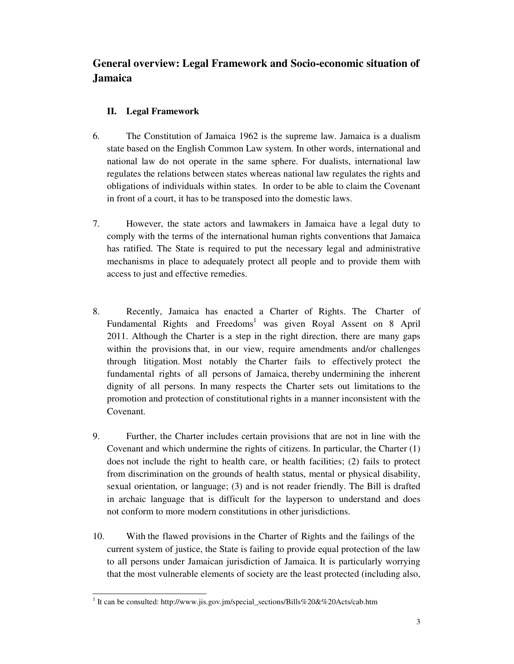# **General overview: Legal Framework and Socio-economic situation of Jamaica**

# **II. Legal Framework**

- 6. The Constitution of Jamaica 1962 is the supreme law. Jamaica is a dualism state based on the English Common Law system. In other words, international and national law do not operate in the same sphere. For dualists, international law regulates the relations between states whereas national law regulates the rights and obligations of individuals within states. In order to be able to claim the Covenant in front of a court, it has to be transposed into the domestic laws.
- 7. However, the state actors and lawmakers in Jamaica have a legal duty to comply with the terms of the international human rights conventions that Jamaica has ratified. The State is required to put the necessary legal and administrative mechanisms in place to adequately protect all people and to provide them with access to just and effective remedies.
- 8. Recently, Jamaica has enacted a Charter of Rights. The Charter of Fundamental Rights and Freedoms<sup>1</sup> was given Royal Assent on 8 April 2011. Although the Charter is a step in the right direction, there are many gaps within the provisions that, in our view, require amendments and/or challenges through litigation. Most notably the Charter fails to effectively protect the fundamental rights of all persons of Jamaica, thereby undermining the inherent dignity of all persons. In many respects the Charter sets out limitations to the promotion and protection of constitutional rights in a manner inconsistent with the Covenant.
- 9. Further, the Charter includes certain provisions that are not in line with the Covenant and which undermine the rights of citizens. In particular, the Charter (1) does not include the right to health care, or health facilities; (2) fails to protect from discrimination on the grounds of health status, mental or physical disability, sexual orientation, or language; (3) and is not reader friendly. The Bill is drafted in archaic language that is difficult for the layperson to understand and does not conform to more modern constitutions in other jurisdictions.
- 10. With the flawed provisions in the Charter of Rights and the failings of the current system of justice, the State is failing to provide equal protection of the law to all persons under Jamaican jurisdiction of Jamaica. It is particularly worrying that the most vulnerable elements of society are the least protected (including also,

<sup>&</sup>lt;u>.</u> <sup>1</sup> It can be consulted: http://www.jis.gov.jm/special\_sections/Bills%20&%20Acts/cab.htm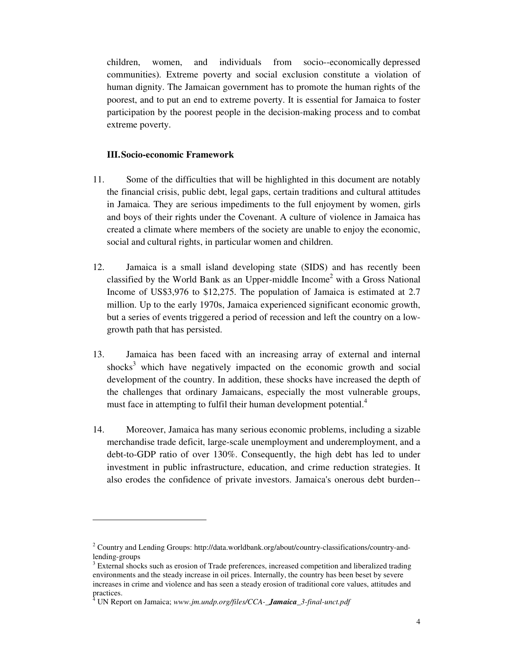children, women, and individuals from socio--economically depressed communities). Extreme poverty and social exclusion constitute a violation of human dignity. The Jamaican government has to promote the human rights of the poorest, and to put an end to extreme poverty. It is essential for Jamaica to foster participation by the poorest people in the decision-making process and to combat extreme poverty.

#### **III.Socio-economic Framework**

- 11. Some of the difficulties that will be highlighted in this document are notably the financial crisis, public debt, legal gaps, certain traditions and cultural attitudes in Jamaica. They are serious impediments to the full enjoyment by women, girls and boys of their rights under the Covenant. A culture of violence in Jamaica has created a climate where members of the society are unable to enjoy the economic, social and cultural rights, in particular women and children.
- 12. Jamaica is a small island developing state (SIDS) and has recently been classified by the World Bank as an Upper-middle Income<sup>2</sup> with a Gross National Income of US\$3,976 to \$12,275. The population of Jamaica is estimated at 2.7 million. Up to the early 1970s, Jamaica experienced significant economic growth, but a series of events triggered a period of recession and left the country on a lowgrowth path that has persisted.
- 13. Jamaica has been faced with an increasing array of external and internal shocks<sup>3</sup> which have negatively impacted on the economic growth and social development of the country. In addition, these shocks have increased the depth of the challenges that ordinary Jamaicans, especially the most vulnerable groups, must face in attempting to fulfil their human development potential.<sup>4</sup>
- 14. Moreover, Jamaica has many serious economic problems, including a sizable merchandise trade deficit, large-scale unemployment and underemployment, and a debt-to-GDP ratio of over 130%. Consequently, the high debt has led to under investment in public infrastructure, education, and crime reduction strategies. It also erodes the confidence of private investors. Jamaica's onerous debt burden--

1

<sup>&</sup>lt;sup>2</sup> Country and Lending Groups: http://data.worldbank.org/about/country-classifications/country-andlending-groups

<sup>&</sup>lt;sup>3</sup> External shocks such as erosion of Trade preferences, increased competition and liberalized trading environments and the steady increase in oil prices. Internally, the country has been beset by severe increases in crime and violence and has seen a steady erosion of traditional core values, attitudes and practices.

<sup>4</sup> UN Report on Jamaica; *www.jm.undp.org/files/CCA-\_Jamaica\_3-final-unct.pdf*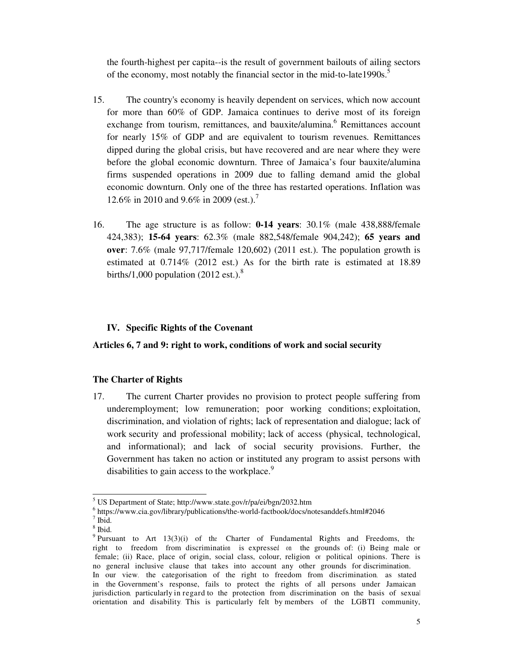the fourth-highest per capita--is the result of government bailouts of ailing sectors of the economy, most notably the financial sector in the mid-to-late1990s.<sup>5</sup>

- 15. The country's economy is heavily dependent on services, which now account for more than 60% of GDP. Jamaica continues to derive most of its foreign exchange from tourism, remittances, and bauxite/alumina.<sup>6</sup> Remittances account for nearly 15% of GDP and are equivalent to tourism revenues. Remittances dipped during the global crisis, but have recovered and are near where they were before the global economic downturn. Three of Jamaica's four bauxite/alumina firms suspended operations in 2009 due to falling demand amid the global economic downturn. Only one of the three has restarted operations. Inflation was 12.6% in 2010 and 9.6% in 2009 (est.).<sup>7</sup>
- 16. The age structure is as follow: **0-14 years**: 30.1% (male 438,888/female 424,383); **15-64 years**: 62.3% (male 882,548/female 904,242); **65 years and over**: 7.6% (male 97,717/female 120,602) (2011 est.). The population growth is estimated at 0.714% (2012 est.) As for the birth rate is estimated at 18.89 births/1,000 population (2012 est.).<sup>8</sup>

#### **IV. Specific Rights of the Covenant**

**Articles 6, 7 and 9: right to work, conditions of work and social security** 

#### **The Charter of Rights**

17. The current Charter provides no provision to protect people suffering from underemployment; low remuneration; poor working conditions; exploitation, discrimination, and violation of rights; lack of representation and dialogue; lack of work security and professional mobility; lack of access (physical, technological, and informational); and lack of social security provisions. Further, the Government has taken no action or instituted any program to assist persons with disabilities to gain access to the workplace.<sup>9</sup>

 5 US Department of State; http://www.state.gov/r/pa/ei/bgn/2032.htm

<sup>6</sup> https://www.cia.gov/library/publications/the-world-factbook/docs/notesanddefs.html#2046

 $<sup>7</sup>$  Ibid.</sup>

<sup>8</sup> Ibid.

<sup>&</sup>lt;sup>9</sup> Pursuant to Art 13(3)(i) of the Charter of Fundamental Rights and Freedoms, the right to freedom from discrimination is expressed on the grounds of: (i) Being male or female; (ii) Race, place of origin, social class, colour, religion or political opinions. There is no general inclusive clause that takes into account any other grounds for discrimination. In our view, the categorisation of the right to freedom from discrimination, as stated in the Government's response, fails to protect the rights of all persons under Jamaican jurisdiction, particularly in regard to the protection from discrimination on the basis of sexual orientation and disability. This is particularly felt by members of the LGBTI community,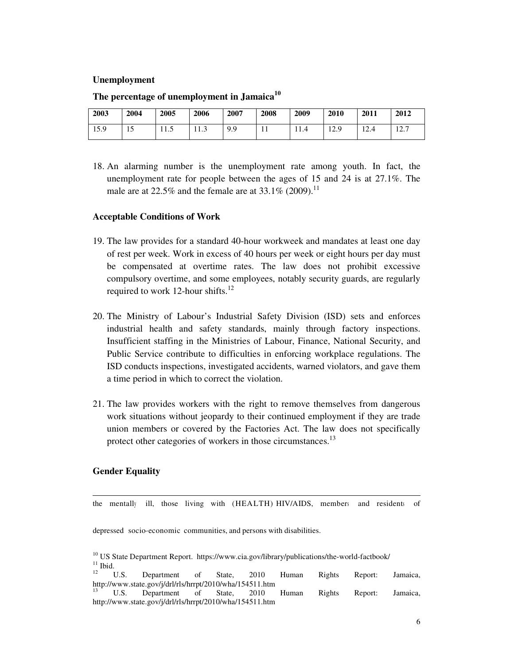#### **Unemployment**

| 2003 | 2004 | 2005 | 2006 | 2007 | 2008         | 2009 | 2010 | 2011                    | 2012 |
|------|------|------|------|------|--------------|------|------|-------------------------|------|
| 15.9 | 15   | .    | 11.J | 9.9  | $\mathbf{r}$ | 11.4 | 12.9 | 12 <sub>1</sub><br>12.4 | 12.7 |

#### **The percentage of unemployment in Jamaica<sup>10</sup>**

18. An alarming number is the unemployment rate among youth. In fact, the unemployment rate for people between the ages of 15 and 24 is at 27.1%. The male are at 22.5% and the female are at 33.1% (2009).<sup>11</sup>

#### **Acceptable Conditions of Work**

- 19. The law provides for a standard 40-hour workweek and mandates at least one day of rest per week. Work in excess of 40 hours per week or eight hours per day must be compensated at overtime rates. The law does not prohibit excessive compulsory overtime, and some employees, notably security guards, are regularly required to work 12-hour shifts. $^{12}$
- 20. The Ministry of Labour's Industrial Safety Division (ISD) sets and enforces industrial health and safety standards, mainly through factory inspections. Insufficient staffing in the Ministries of Labour, Finance, National Security, and Public Service contribute to difficulties in enforcing workplace regulations. The ISD conducts inspections, investigated accidents, warned violators, and gave them a time period in which to correct the violation.
- 21. The law provides workers with the right to remove themselves from dangerous work situations without jeopardy to their continued employment if they are trade union members or covered by the Factories Act. The law does not specifically protect other categories of workers in those circumstances.<sup>13</sup>

#### **Gender Equality**

<u>.</u>

the mentally ill, those living with (HEALTH) HIV/AIDS, members and residents of

depressed socio-economic communities, and persons with disabilities.

http://www.state.gov/j/drl/rls/hrrpt/2010/wha/154511.htm

<sup>&</sup>lt;sup>10</sup> US State Department Report. https://www.cia.gov/library/publications/the-world-factbook/  $\frac{11}{12}$  Ibid.

<sup>&</sup>lt;sup>12</sup> U.S. Department of State, 2010 Human Rights Report: Jamaica, http://www.state.gov/j/drl/rls/hrrpt/2010/wha/154511.htm <sup>13</sup> U.S. Department of State, 2010 Human Rights Report: Jamaica,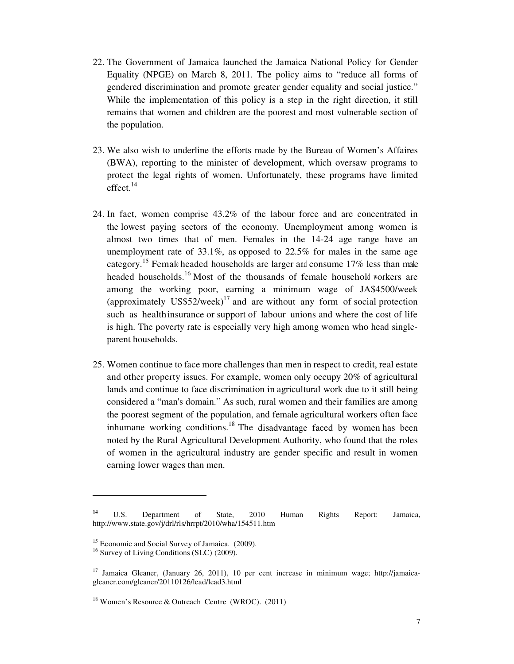- 22. The Government of Jamaica launched the Jamaica National Policy for Gender Equality (NPGE) on March 8, 2011. The policy aims to "reduce all forms of gendered discrimination and promote greater gender equality and social justice." While the implementation of this policy is a step in the right direction, it still remains that women and children are the poorest and most vulnerable section of the population.
- 23. We also wish to underline the efforts made by the Bureau of Women's Affaires (BWA), reporting to the minister of development, which oversaw programs to protect the legal rights of women. Unfortunately, these programs have limited effect. $^{14}$
- 24. In fact, women comprise 43.2% of the labour force and are concentrated in the lowest paying sectors of the economy. Unemployment among women is almost two times that of men. Females in the 14-24 age range have an unemployment rate of 33.1%, as opposed to 22.5% for males in the same age category.<sup>15</sup> Female headed households are larger and consume 17% less than male headed households.<sup>16</sup> Most of the thousands of female household workers are among the working poor, earning a minimum wage of JA\$4500/week (approximately  $USS52/week)^{17}$  and are without any form of social protection such as healthinsurance or support of labour unions and where the cost of life is high. The poverty rate is especially very high among women who head singleparent households.
- 25. Women continue to face more challenges than men in respect to credit, real estate and other property issues. For example, women only occupy 20% of agricultural lands and continue to face discrimination in agricultural work due to it still being considered a "man's domain." As such, rural women and their families are among the poorest segment of the population, and female agricultural workers often face inhumane working conditions.<sup>18</sup> The disadvantage faced by women has been noted by the Rural Agricultural Development Authority, who found that the roles of women in the agricultural industry are gender specific and result in women earning lower wages than men.

**<sup>14</sup>** U.S. Department of State, 2010 Human Rights Report: Jamaica, http://www.state.gov/j/drl/rls/hrrpt/2010/wha/154511.htm

<sup>&</sup>lt;sup>15</sup> Economic and Social Survey of Jamaica. (2009).

<sup>&</sup>lt;sup>16</sup> Survey of Living Conditions (SLC) (2009).

<sup>&</sup>lt;sup>17</sup> Jamaica Gleaner, (January 26, 2011), 10 per cent increase in minimum wage; http://jamaicagleaner.com/gleaner/20110126/lead/lead3.html

<sup>18</sup> Women's Resource & Outreach Centre (WROC). (2011)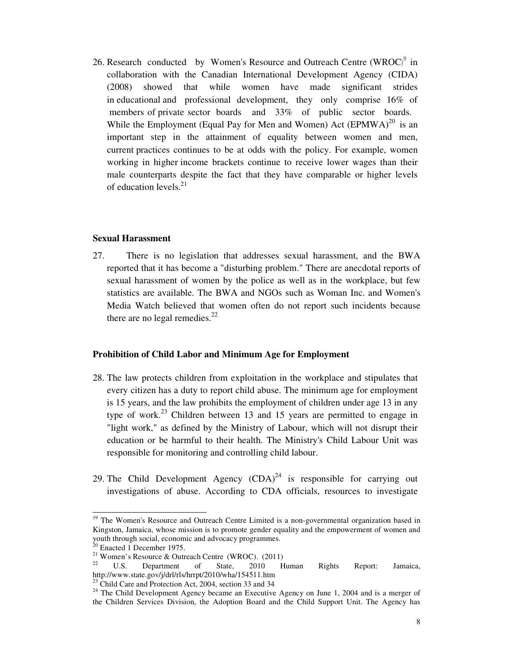26. Research conducted by Women's Resource and Outreach Centre (WROC)<sup>9</sup> in collaboration with the Canadian International Development Agency (CIDA) (2008) showed that while women have made significant strides in educational and professional development, they only comprise 16% of members of private sector boards and 33% of public sector boards. While the Employment (Equal Pay for Men and Women) Act  $(EPMWA)^{20}$  is an important step in the attainment of equality between women and men, current practices continues to be at odds with the policy. For example, women working in higher income brackets continue to receive lower wages than their male counterparts despite the fact that they have comparable or higher levels of education levels. $^{21}$ 

#### **Sexual Harassment**

27. There is no legislation that addresses sexual harassment, and the BWA reported that it has become a "disturbing problem." There are anecdotal reports of sexual harassment of women by the police as well as in the workplace, but few statistics are available. The BWA and NGOs such as Woman Inc. and Women's Media Watch believed that women often do not report such incidents because there are no legal remedies. $^{22}$ 

#### **Prohibition of Child Labor and Minimum Age for Employment**

- 28. The law protects children from exploitation in the workplace and stipulates that every citizen has a duty to report child abuse. The minimum age for employment is 15 years, and the law prohibits the employment of children under age 13 in any type of work.<sup>23</sup> Children between 13 and 15 years are permitted to engage in "light work," as defined by the Ministry of Labour, which will not disrupt their education or be harmful to their health. The Ministry's Child Labour Unit was responsible for monitoring and controlling child labour.
- 29. The Child Development Agency  $(CDA)^{24}$  is responsible for carrying out investigations of abuse. According to CDA officials, resources to investigate

<sup>&</sup>lt;sup>19</sup> The Women's Resource and Outreach Centre Limited is a non-governmental organization based in Kingston, Jamaica, whose mission is to promote gender equality and the empowerment of women and youth through social, economic and advocacy programmes.

 $20$  Enacted 1 December 1975.

<sup>&</sup>lt;sup>21</sup> Women's Resource & Outreach Centre (WROC). (2011)

U.S. Department of State, 2010 Human Rights Report: Jamaica, http://www.state.gov/j/drl/rls/hrrpt/2010/wha/154511.htm

<sup>23</sup> Child Care and Protection Act, 2004, section 33 and 34

<sup>&</sup>lt;sup>24</sup> The Child Development Agency became an Executive Agency on June 1, 2004 and is a merger of the Children Services Division, the Adoption Board and the Child Support Unit. The Agency has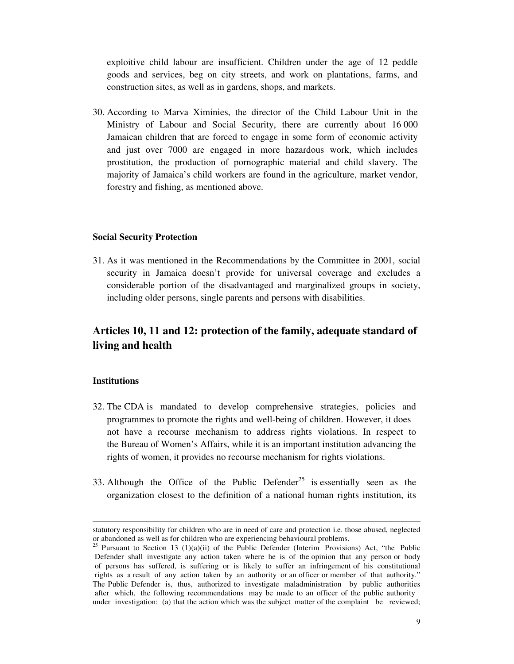exploitive child labour are insufficient. Children under the age of 12 peddle goods and services, beg on city streets, and work on plantations, farms, and construction sites, as well as in gardens, shops, and markets.

30. According to Marva Ximinies, the director of the Child Labour Unit in the Ministry of Labour and Social Security, there are currently about 16 000 Jamaican children that are forced to engage in some form of economic activity and just over 7000 are engaged in more hazardous work, which includes prostitution, the production of pornographic material and child slavery. The majority of Jamaica's child workers are found in the agriculture, market vendor, forestry and fishing, as mentioned above.

#### **Social Security Protection**

31. As it was mentioned in the Recommendations by the Committee in 2001, social security in Jamaica doesn't provide for universal coverage and excludes a considerable portion of the disadvantaged and marginalized groups in society, including older persons, single parents and persons with disabilities.

# **Articles 10, 11 and 12: protection of the family, adequate standard of living and health**

#### **Institutions**

- 32. The CDA is mandated to develop comprehensive strategies, policies and programmes to promote the rights and well-being of children. However, it does not have a recourse mechanism to address rights violations. In respect to the Bureau of Women's Affairs, while it is an important institution advancing the rights of women, it provides no recourse mechanism for rights violations.
- 33. Although the Office of the Public Defender<sup>25</sup> is essentially seen as the organization closest to the definition of a national human rights institution, its

statutory responsibility for children who are in need of care and protection i.e. those abused, neglected or abandoned as well as for children who are experiencing behavioural problems.

<sup>&</sup>lt;sup>25</sup> Pursuant to Section 13 (1)(a)(ii) of the Public Defender (Interim Provisions) Act, "the Public Defender shall investigate any action taken where he is of the opinion that any person or body of persons has suffered, is suffering or is likely to suffer an infringement of his constitutional rights as a result of any action taken by an authority or an officer or member of that authority." The Public Defender is, thus, authorized to investigate maladministration by public authorities after which, the following recommendations may be made to an officer of the public authority under investigation: (a) that the action which was the subject matter of the complaint be reviewed;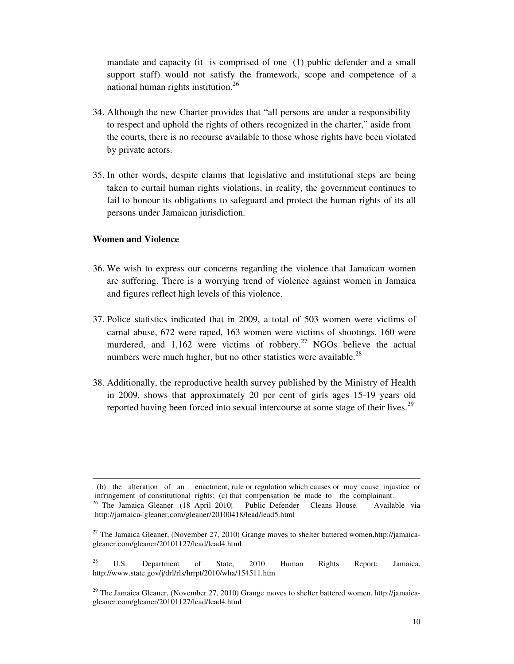mandate and capacity (it is comprised of one (1) public defender and a small support staff) would not satisfy the framework, scope and competence of a national human rights institution.<sup>26</sup>

- 34. Although the new Charter provides that "all persons are under a responsibility to respect and uphold the rights of others recognized in the charter," aside from the courts, there is no recourse available to those whose rights have been violated by private actors.
- 35. In other words, despite claims that legislative and institutional steps are being taken to curtail human rights violations, in reality, the government continues to fail to honour its obligations to safeguard and protect the human rights of its all persons under Jamaican jurisdiction.

#### **Women and Violence**

- 36. We wish to express our concerns regarding the violence that Jamaican women are suffering. There is a worrying trend of violence against women in Jamaica and figures reflect high levels of this violence.
- 37. Police statistics indicated that in 2009, a total of 503 women were victims of carnal abuse, 672 were raped, 163 women were victims of shootings, 160 were murdered, and  $1,162$  were victims of robbery.<sup>27</sup> NGOs believe the actual numbers were much higher, but no other statistics were available. $^{28}$
- 38. Additionally, the reproductive health survey published by the Ministry of Health in 2009, shows that approximately 20 per cent of girls ages 15-19 years old reported having been forced into sexual intercourse at some stage of their lives.<sup>29</sup>

 <sup>(</sup>b) the alteration of an enactment, rule or regulation which causes or may cause injustice or infringement of constitutional rights; (c) that compensation be made to the complainant. <sup>26</sup> The Jamaica Gleaner. (18 April 2010). Public Defender Cleans House. Available via http://jamaica--gleaner.com/gleaner/20100418/lead/lead5.html

 $27$  The Jamaica Gleaner, (November 27, 2010) Grange moves to shelter battered women,http://jamaicagleaner.com/gleaner/20101127/lead/lead4.html

<sup>&</sup>lt;sup>28</sup> U.S. Department of State, 2010 Human Rights Report: Jamaica, http://www.state.gov/j/drl/rls/hrrpt/2010/wha/154511.htm

<sup>&</sup>lt;sup>29</sup> The Jamaica Gleaner, (November 27, 2010) Grange moves to shelter battered women, http://jamaicagleaner.com/gleaner/20101127/lead/lead4.html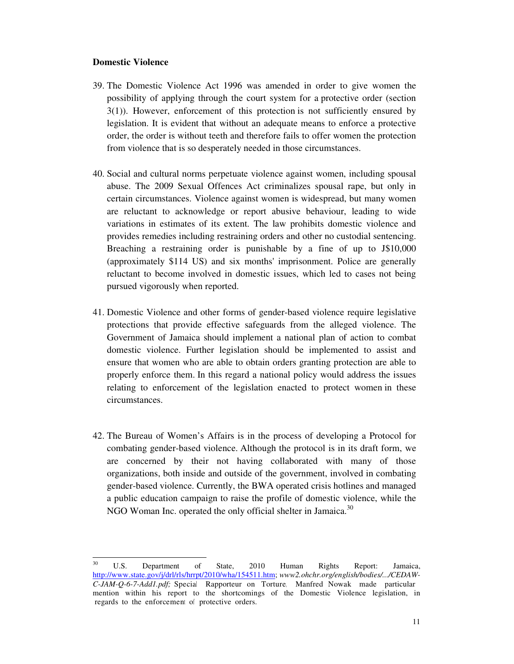#### **Domestic Violence**

- 39. The Domestic Violence Act 1996 was amended in order to give women the possibility of applying through the court system for a protective order (section 3(1)). However, enforcement of this protection is not sufficiently ensured by legislation. It is evident that without an adequate means to enforce a protective order, the order is without teeth and therefore fails to offer women the protection from violence that is so desperately needed in those circumstances.
- 40. Social and cultural norms perpetuate violence against women, including spousal abuse. The 2009 Sexual Offences Act criminalizes spousal rape, but only in certain circumstances. Violence against women is widespread, but many women are reluctant to acknowledge or report abusive behaviour, leading to wide variations in estimates of its extent. The law prohibits domestic violence and provides remedies including restraining orders and other no custodial sentencing. Breaching a restraining order is punishable by a fine of up to J\$10,000 (approximately \$114 US) and six months' imprisonment. Police are generally reluctant to become involved in domestic issues, which led to cases not being pursued vigorously when reported.
- 41. Domestic Violence and other forms of gender-based violence require legislative protections that provide effective safeguards from the alleged violence. The Government of Jamaica should implement a national plan of action to combat domestic violence. Further legislation should be implemented to assist and ensure that women who are able to obtain orders granting protection are able to properly enforce them. In this regard a national policy would address the issues relating to enforcement of the legislation enacted to protect women in these circumstances.
- 42. The Bureau of Women's Affairs is in the process of developing a Protocol for combating gender-based violence. Although the protocol is in its draft form, we are concerned by their not having collaborated with many of those organizations, both inside and outside of the government, involved in combating gender-based violence. Currently, the BWA operated crisis hotlines and managed a public education campaign to raise the profile of domestic violence, while the NGO Woman Inc. operated the only official shelter in Jamaica.<sup>30</sup>

 $30^{\circ}$ <sup>30</sup> U.S. Department of State, 2010 Human Rights Report: Jamaica, http://www.state.gov/j/drl/rls/hrrpt/2010/wha/154511.htm; *www2.ohchr.org/english/bodies/.../CEDAW-C-JAM-Q-6-7-Add1.pdf;* Special Rapporteur on Torture, Manfred Nowak made particular mention within his report to the shortcomings of the Domestic Violence legislation, in regards to the enforcement of protective orders.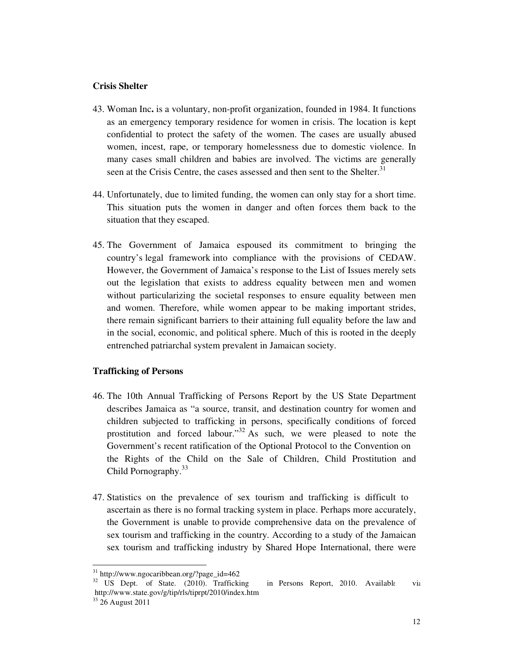#### **Crisis Shelter**

- 43. Woman Inc**.** is a voluntary, non-profit organization, founded in 1984. It functions as an emergency temporary residence for women in crisis. The location is kept confidential to protect the safety of the women. The cases are usually abused women, incest, rape, or temporary homelessness due to domestic violence. In many cases small children and babies are involved. The victims are generally seen at the Crisis Centre, the cases assessed and then sent to the Shelter.<sup>31</sup>
- 44. Unfortunately, due to limited funding, the women can only stay for a short time. This situation puts the women in danger and often forces them back to the situation that they escaped.
- 45. The Government of Jamaica espoused its commitment to bringing the country's legal framework into compliance with the provisions of CEDAW. However, the Government of Jamaica's response to the List of Issues merely sets out the legislation that exists to address equality between men and women without particularizing the societal responses to ensure equality between men and women. Therefore, while women appear to be making important strides, there remain significant barriers to their attaining full equality before the law and in the social, economic, and political sphere. Much of this is rooted in the deeply entrenched patriarchal system prevalent in Jamaican society.

#### **Trafficking of Persons**

- 46. The 10th Annual Trafficking of Persons Report by the US State Department describes Jamaica as "a source, transit, and destination country for women and children subjected to trafficking in persons, specifically conditions of forced prostitution and forced labour."<sup>32</sup> As such, we were pleased to note the Government's recent ratification of the Optional Protocol to the Convention on the Rights of the Child on the Sale of Children, Child Prostitution and Child Pornography.<sup>33</sup>
- 47. Statistics on the prevalence of sex tourism and trafficking is difficult to ascertain as there is no formal tracking system in place. Perhaps more accurately, the Government is unable to provide comprehensive data on the prevalence of sex tourism and trafficking in the country. According to a study of the Jamaican sex tourism and trafficking industry by Shared Hope International, there were

-

<sup>31</sup> http://www.ngocaribbean.org/?page\_id=462

 $32$  US Dept. of State. (2010). Trafficking in Persons Report, 2010. Available via http://www.state.gov/g/tip/rls/tiprpt/2010/index.htm

<sup>33</sup> 26 August 2011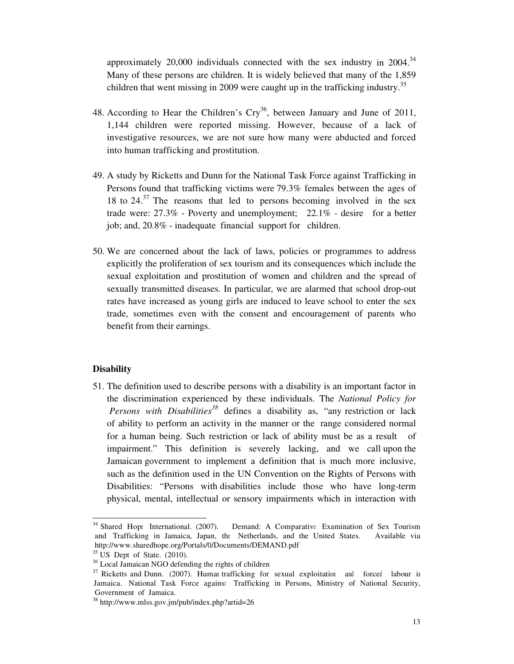approximately  $20,000$  individuals connected with the sex industry in  $2004$ .<sup>34</sup> Many of these persons are children. It is widely believed that many of the 1,859 children that went missing in 2009 were caught up in the trafficking industry.<sup>35</sup>

- 48. According to Hear the Children's  $Cry^{36}$ , between January and June of 2011, 1,144 children were reported missing. However, because of a lack of investigative resources, we are not sure how many were abducted and forced into human trafficking and prostitution.
- 49. A study by Ricketts and Dunn for the National Task Force against Trafficking in Persons found that trafficking victims were 79.3% females between the ages of 18 to  $24.37$  The reasons that led to persons becoming involved in the sex trade were: 27.3% - Poverty and unemployment; 22.1% - desire for a better job; and, 20.8% - inadequate financial support for children.
- 50. We are concerned about the lack of laws, policies or programmes to address explicitly the proliferation of sex tourism and its consequences which include the sexual exploitation and prostitution of women and children and the spread of sexually transmitted diseases. In particular, we are alarmed that school drop-out rates have increased as young girls are induced to leave school to enter the sex trade, sometimes even with the consent and encouragement of parents who benefit from their earnings.

#### **Disability**

51. The definition used to describe persons with a disability is an important factor in the discrimination experienced by these individuals. The *National Policy for*  Persons with Disabilities<sup>38</sup> defines a disability as, "any restriction or lack of ability to perform an activity in the manner or the range considered normal for a human being. Such restriction or lack of ability must be as a result of impairment." This definition is severely lacking, and we call upon the Jamaican government to implement a definition that is much more inclusive, such as the definition used in the UN Convention on the Rights of Persons with Disabilities: "Persons with disabilities include those who have long-term physical, mental, intellectual or sensory impairments which in interaction with

<sup>&</sup>lt;sup>34</sup> Shared Hope International. (2007). Demand: A Comparative Examination of Sex Tourism and Trafficking in Jamaica, Japan, the Netherlands, and the United States. Available via http://www.sharedhope.org/Portals/0/Documents/DEMAND.pdf

 $35 \text{ US}$  Dept of State. (2010).

<sup>36</sup> Local Jamaican NGO defending the rights of children

<sup>&</sup>lt;sup>37</sup> Ricketts and Dunn. (2007). Human trafficking for sexual exploitation and forced labour in Jamaica. National Task Force against Trafficking in Persons, Ministry of National Security, Government of Jamaica.

<sup>38</sup> http://www.mlss.gov.jm/pub/index.php?artid=26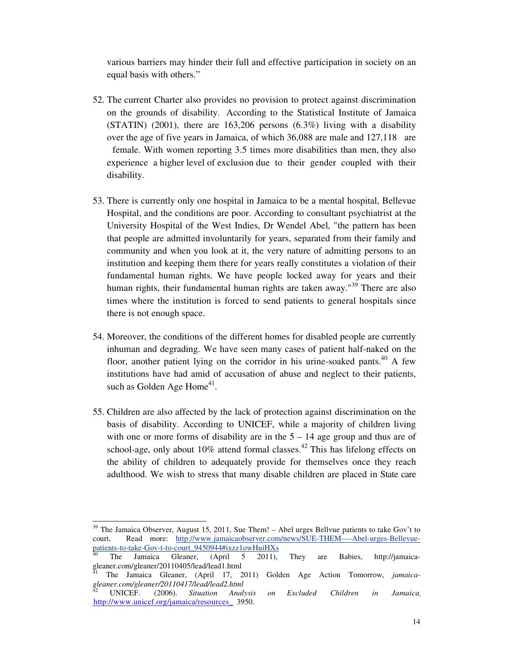various barriers may hinder their full and effective participation in society on an equal basis with others."

- 52. The current Charter also provides no provision to protect against discrimination on the grounds of disability. According to the Statistical Institute of Jamaica (STATIN) (2001), there are  $163,206$  persons  $(6.3\%)$  living with a disability over the age of five years in Jamaica, of which 36,088 are male and 127,118 are female. With women reporting 3.5 times more disabilities than men, they also experience a higher level of exclusion due to their gender coupled with their disability.
- 53. There is currently only one hospital in Jamaica to be a mental hospital, Bellevue Hospital, and the conditions are poor. According to consultant psychiatrist at the University Hospital of the West Indies, Dr Wendel Abel, "the pattern has been that people are admitted involuntarily for years, separated from their family and community and when you look at it, the very nature of admitting persons to an institution and keeping them there for years really constitutes a violation of their fundamental human rights. We have people locked away for years and their human rights, their fundamental human rights are taken away."<sup>39</sup> There are also times where the institution is forced to send patients to general hospitals since there is not enough space.
- 54. Moreover, the conditions of the different homes for disabled people are currently inhuman and degrading. We have seen many cases of patient half-naked on the floor, another patient lying on the corridor in his urine-soaked pants.<sup>40</sup> A few institutions have had amid of accusation of abuse and neglect to their patients, such as Golden Age Home $^{41}$ .
- 55. Children are also affected by the lack of protection against discrimination on the basis of disability. According to UNICEF, while a majority of children living with one or more forms of disability are in the  $5 - 14$  age group and thus are of school-age, only about 10% attend formal classes.<sup>42</sup> This has lifelong effects on the ability of children to adequately provide for themselves once they reach adulthood. We wish to stress that many disable children are placed in State care

 $39$  The Jamaica Observer, August 15, 2011, Sue Them! – Abel urges Bellvue patients to take Gov't to court, Read more: http://www.jamaicaobserver.com/news/SUE-THEM----Abel-urges-Bellevuepatients-to-take-Gov-t-to-court\_9450944#ixzz1owHuiHXs

 $40$  The Jamaica Gleaner, (April 5 2011), They are Babies, http://jamaicagleaner.com/gleaner/20110405/lead/lead1.html

<sup>41</sup> The Jamaica Gleaner, (April 17, 2011) Golden Age Action Tomorrow, *jamaicagleaner.com/gleaner/20110417/lead/lead2.html*

<sup>42</sup> UNICEF. (2006). *Situation Analysis on Excluded Children in Jamaica*. http://www.unicef.org/jamaica/resources\_ 3950.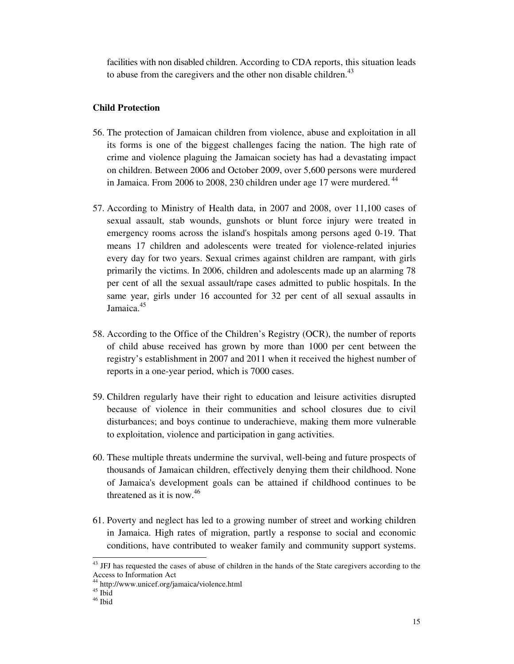facilities with non disabled children. According to CDA reports, this situation leads to abuse from the caregivers and the other non disable children.<sup>43</sup>

#### **Child Protection**

- 56. The protection of Jamaican children from violence, abuse and exploitation in all its forms is one of the biggest challenges facing the nation. The high rate of crime and violence plaguing the Jamaican society has had a devastating impact on children. Between 2006 and October 2009, over 5,600 persons were murdered in Jamaica. From 2006 to 2008, 230 children under age 17 were murdered.<sup>44</sup>
- 57. According to Ministry of Health data, in 2007 and 2008, over 11,100 cases of sexual assault, stab wounds, gunshots or blunt force injury were treated in emergency rooms across the island's hospitals among persons aged 0-19. That means 17 children and adolescents were treated for violence-related injuries every day for two years. Sexual crimes against children are rampant, with girls primarily the victims. In 2006, children and adolescents made up an alarming 78 per cent of all the sexual assault/rape cases admitted to public hospitals. In the same year, girls under 16 accounted for 32 per cent of all sexual assaults in Jamaica.<sup>45</sup>
- 58. According to the Office of the Children's Registry (OCR), the number of reports of child abuse received has grown by more than 1000 per cent between the registry's establishment in 2007 and 2011 when it received the highest number of reports in a one-year period, which is 7000 cases.
- 59. Children regularly have their right to education and leisure activities disrupted because of violence in their communities and school closures due to civil disturbances; and boys continue to underachieve, making them more vulnerable to exploitation, violence and participation in gang activities.
- 60. These multiple threats undermine the survival, well-being and future prospects of thousands of Jamaican children, effectively denying them their childhood. None of Jamaica's development goals can be attained if childhood continues to be threatened as it is now.<sup>46</sup>
- 61. Poverty and neglect has led to a growing number of street and working children in Jamaica. High rates of migration, partly a response to social and economic conditions, have contributed to weaker family and community support systems.

<sup>&</sup>lt;sup>43</sup> JFJ has requested the cases of abuse of children in the hands of the State caregivers according to the Access to Information Act

<sup>44</sup> http://www.unicef.org/jamaica/violence.html

 $45 \text{ }\frac{\text{m}}{\text{45}}$ 

<sup>46</sup> Ibid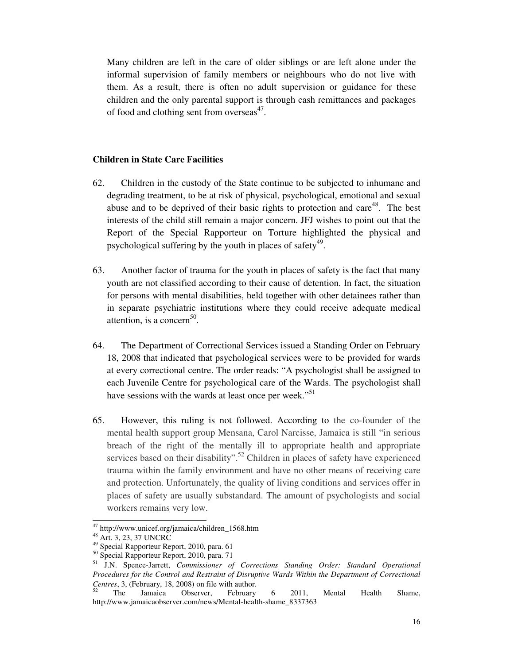Many children are left in the care of older siblings or are left alone under the informal supervision of family members or neighbours who do not live with them. As a result, there is often no adult supervision or guidance for these children and the only parental support is through cash remittances and packages of food and clothing sent from overseas $47$ .

#### **Children in State Care Facilities**

- 62. Children in the custody of the State continue to be subjected to inhumane and degrading treatment, to be at risk of physical, psychological, emotional and sexual abuse and to be deprived of their basic rights to protection and care<sup>48</sup>. The best interests of the child still remain a major concern. JFJ wishes to point out that the Report of the Special Rapporteur on Torture highlighted the physical and psychological suffering by the youth in places of safety $49$ .
- 63. Another factor of trauma for the youth in places of safety is the fact that many youth are not classified according to their cause of detention. In fact, the situation for persons with mental disabilities, held together with other detainees rather than in separate psychiatric institutions where they could receive adequate medical attention, is a concern<sup>50</sup>.
- 64. The Department of Correctional Services issued a Standing Order on February 18, 2008 that indicated that psychological services were to be provided for wards at every correctional centre. The order reads: "A psychologist shall be assigned to each Juvenile Centre for psychological care of the Wards. The psychologist shall have sessions with the wards at least once per week."<sup>51</sup>
- 65. However, this ruling is not followed. According to the co-founder of the mental health support group Mensana, Carol Narcisse, Jamaica is still "in serious breach of the right of the mentally ill to appropriate health and appropriate services based on their disability".<sup>52</sup> Children in places of safety have experienced trauma within the family environment and have no other means of receiving care and protection. Unfortunately, the quality of living conditions and services offer in places of safety are usually substandard. The amount of psychologists and social workers remains very low.

<sup>&</sup>lt;sup>47</sup> http://www.unicef.org/jamaica/children\_1568.htm

<sup>48</sup> Art. 3, 23, 37 UNCRC

<sup>49</sup> Special Rapporteur Report, 2010, para. 61

<sup>&</sup>lt;sup>50</sup> Special Rapporteur Report, 2010, para. 71

<sup>51</sup> J.N. Spence-Jarrett, *Commissioner of Corrections Standing Order: Standard Operational Procedures for the Control and Restraint of Disruptive Wards Within the Department of Correctional Centres*, 3, (February, 18, 2008) on file with author.

 $52$  The Jamaica Observer, February 6 2011, Mental Health Shame, http://www.jamaicaobserver.com/news/Mental-health-shame\_8337363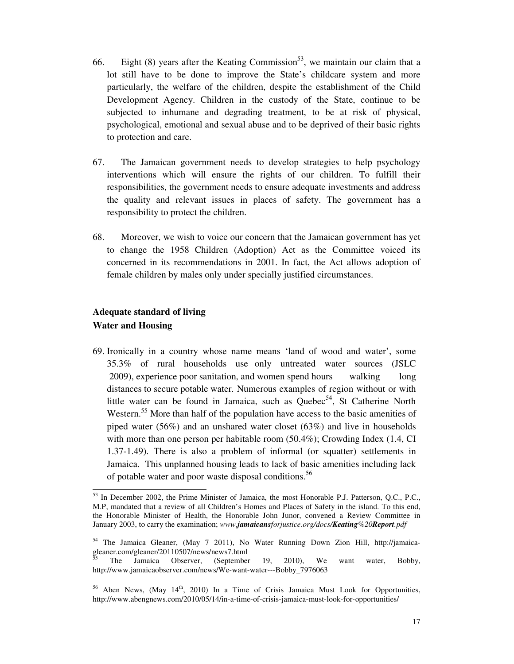- 66. Eight (8) years after the Keating Commission<sup>53</sup>, we maintain our claim that a lot still have to be done to improve the State's childcare system and more particularly, the welfare of the children, despite the establishment of the Child Development Agency. Children in the custody of the State, continue to be subjected to inhumane and degrading treatment, to be at risk of physical, psychological, emotional and sexual abuse and to be deprived of their basic rights to protection and care.
- 67. The Jamaican government needs to develop strategies to help psychology interventions which will ensure the rights of our children. To fulfill their responsibilities, the government needs to ensure adequate investments and address the quality and relevant issues in places of safety. The government has a responsibility to protect the children.
- 68. Moreover, we wish to voice our concern that the Jamaican government has yet to change the 1958 Children (Adoption) Act as the Committee voiced its concerned in its recommendations in 2001. In fact, the Act allows adoption of female children by males only under specially justified circumstances.

# **Adequate standard of living Water and Housing**

<u>.</u>

69. Ironically in a country whose name means 'land of wood and water', some 35.3% of rural households use only untreated water sources (JSLC 2009), experience poor sanitation, and women spend hours walking long distances to secure potable water. Numerous examples of region without or with little water can be found in Jamaica, such as Quebec<sup>54</sup>, St Catherine North Western.<sup>55</sup> More than half of the population have access to the basic amenities of piped water (56%) and an unshared water closet (63%) and live in households with more than one person per habitable room (50.4%); Crowding Index (1.4, CI 1.37-1.49). There is also a problem of informal (or squatter) settlements in Jamaica. This unplanned housing leads to lack of basic amenities including lack of potable water and poor waste disposal conditions. 56

<sup>&</sup>lt;sup>53</sup> In December 2002, the Prime Minister of Jamaica, the most Honorable P.J. Patterson, Q.C., P.C., M.P, mandated that a review of all Children's Homes and Places of Safety in the island. To this end, the Honorable Minister of Health, the Honorable John Junor, convened a Review Committee in January 2003, to carry the examination; *www.jamaicansforjustice.org/docs/Keating%20Report.pdf*

<sup>54</sup> The Jamaica Gleaner, (May 7 2011), No Water Running Down Zion Hill, http://jamaicagleaner.com/gleaner/20110507/news/news7.html

<sup>55</sup> The Jamaica Observer, (September 19, 2010), We want water, Bobby, http://www.jamaicaobserver.com/news/We-want-water---Bobby\_7976063

 $56$  Aben News, (May  $14<sup>th</sup>$ , 2010) In a Time of Crisis Jamaica Must Look for Opportunities, http://www.abengnews.com/2010/05/14/in-a-time-of-crisis-jamaica-must-look-for-opportunities/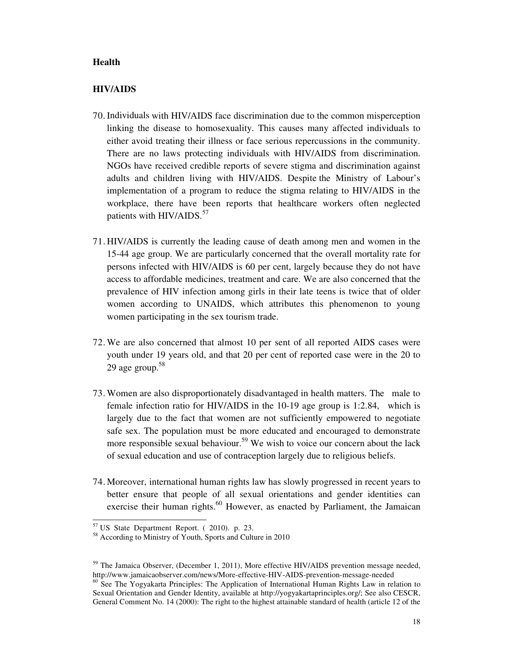#### **Health**

#### **HIV/AIDS**

- 70.Individuals with HIV/AIDS face discrimination due to the common misperception linking the disease to homosexuality. This causes many affected individuals to either avoid treating their illness or face serious repercussions in the community. There are no laws protecting individuals with HIV/AIDS from discrimination. NGOs have received credible reports of severe stigma and discrimination against adults and children living with HIV/AIDS. Despite the Ministry of Labour's implementation of a program to reduce the stigma relating to HIV/AIDS in the workplace, there have been reports that healthcare workers often neglected patients with HIV/AIDS. $57$
- 71. HIV/AIDS is currently the leading cause of death among men and women in the 15-44 age group. We are particularly concerned that the overall mortality rate for persons infected with HIV/AIDS is 60 per cent, largely because they do not have access to affordable medicines, treatment and care. We are also concerned that the prevalence of HIV infection among girls in their late teens is twice that of older women according to UNAIDS, which attributes this phenomenon to young women participating in the sex tourism trade.
- 72. We are also concerned that almost 10 per sent of all reported AIDS cases were youth under 19 years old, and that 20 per cent of reported case were in the 20 to 29 age group. $58$
- 73. Women are also disproportionately disadvantaged in health matters. The male to female infection ratio for HIV/AIDS in the 10-19 age group is 1:2.84, which is largely due to the fact that women are not sufficiently empowered to negotiate safe sex. The population must be more educated and encouraged to demonstrate more responsible sexual behaviour.<sup>59</sup> We wish to voice our concern about the lack of sexual education and use of contraception largely due to religious beliefs.
- 74. Moreover, international human rights law has slowly progressed in recent years to better ensure that people of all sexual orientations and gender identities can exercise their human rights.<sup>60</sup> However, as enacted by Parliament, the Jamaican

1

 $57$  US State Department Report. (2010). p. 23.

<sup>58</sup> According to Ministry of Youth, Sports and Culture in 2010

<sup>&</sup>lt;sup>59</sup> The Jamaica Observer, (December 1, 2011), More effective HIV/AIDS prevention message needed, http://www.jamaicaobserver.com/news/More-effective-HIV-AIDS-prevention-message-needed

<sup>&</sup>lt;sup>60</sup> See The Yogyakarta Principles: The Application of International Human Rights Law in relation to Sexual Orientation and Gender Identity, available at http://yogyakartaprinciples.org/; See also CESCR, General Comment No. 14 (2000): The right to the highest attainable standard of health (article 12 of the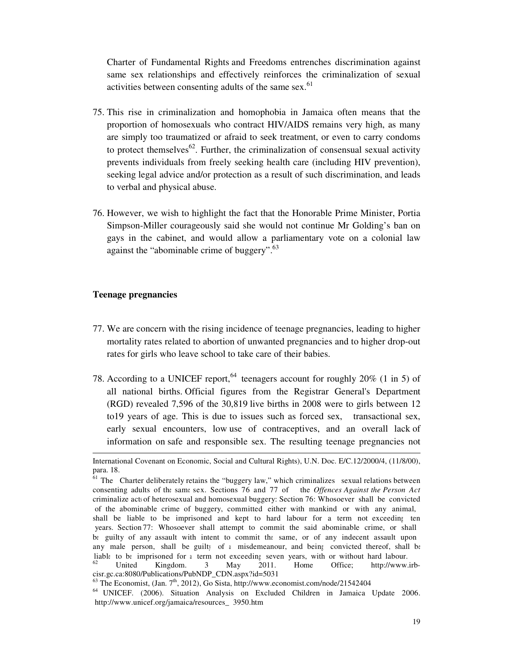Charter of Fundamental Rights and Freedoms entrenches discrimination against same sex relationships and effectively reinforces the criminalization of sexual activities between consenting adults of the same sex.<sup>61</sup>

- 75. This rise in criminalization and homophobia in Jamaica often means that the proportion of homosexuals who contract HIV/AIDS remains very high, as many are simply too traumatized or afraid to seek treatment, or even to carry condoms to protect themselves<sup>62</sup>. Further, the criminalization of consensual sexual activity prevents individuals from freely seeking health care (including HIV prevention), seeking legal advice and/or protection as a result of such discrimination, and leads to verbal and physical abuse.
- 76. However, we wish to highlight the fact that the Honorable Prime Minister, Portia Simpson-Miller courageously said she would not continue Mr Golding's ban on gays in the cabinet, and would allow a parliamentary vote on a colonial law against the "abominable crime of buggery".<sup>63</sup>

#### **Teenage pregnancies**

1

- 77. We are concern with the rising incidence of teenage pregnancies, leading to higher mortality rates related to abortion of unwanted pregnancies and to higher drop-out rates for girls who leave school to take care of their babies.
- 78. According to a UNICEF report,  $64$  teenagers account for roughly 20% (1 in 5) of all national births. Official figures from the Registrar General's Department (RGD) revealed 7,596 of the 30,819 live births in 2008 were to girls between 12 to19 years of age. This is due to issues such as forced sex, transactional sex, early sexual encounters, low use of contraceptives, and an overall lack of information on safe and responsible sex. The resulting teenage pregnancies not

International Covenant on Economic, Social and Cultural Rights), U.N. Doc. E/C.12/2000/4, (11/8/00), para. 18.

 $\frac{61}{61}$  The Charter deliberately retains the "buggery law," which criminalizes sexual relations between consenting adults of the same sex. Sections 76 and 77 of the *Offences Against the Person Act* criminalize acts of heterosexual and homosexual buggery: Section 76: Whosoever shall be convicted of the abominable crime of buggery, committed either with mankind or with any animal, shall be liable to be imprisoned and kept to hard labour for a term not exceeding ten years. Section 77: Whosoever shall attempt to commit the said abominable crime, or shall be guilty of any assault with intent to commit the same, or of any indecent assault upon any male person, shall be guilty of a misdemeanour, and being convicted thereof, shall be liable to be imprisoned for a term not exceeding seven years, with or without hard labour.

United Kingdom. 3 May 2011. Home Office; http://www.irbcisr.gc.ca:8080/Publications/PubNDP\_CDN.aspx?id=5031

 $63$  The Economist, (Jan.  $7<sup>th</sup>$ , 2012), Go Sista, http://www.economist.com/node/21542404

<sup>64</sup> UNICEF. (2006). Situation Analysis on Excluded Children in Jamaica Update 2006. http://www.unicef.org/jamaica/resources\_ 3950.htm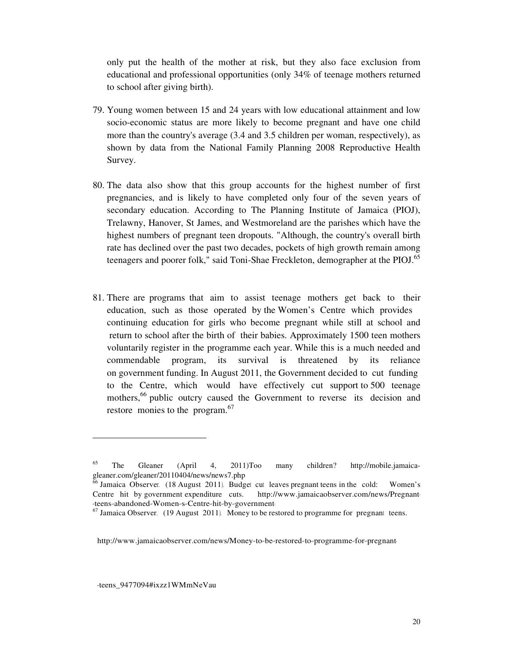only put the health of the mother at risk, but they also face exclusion from educational and professional opportunities (only 34% of teenage mothers returned to school after giving birth).

- 79. Young women between 15 and 24 years with low educational attainment and low socio-economic status are more likely to become pregnant and have one child more than the country's average (3.4 and 3.5 children per woman, respectively), as shown by data from the National Family Planning 2008 Reproductive Health Survey.
- 80. The data also show that this group accounts for the highest number of first pregnancies, and is likely to have completed only four of the seven years of secondary education. According to The Planning Institute of Jamaica (PIOJ), Trelawny, Hanover, St James, and Westmoreland are the parishes which have the highest numbers of pregnant teen dropouts. "Although, the country's overall birth rate has declined over the past two decades, pockets of high growth remain among teenagers and poorer folk," said Toni-Shae Freckleton, demographer at the PIOJ.<sup>65</sup>
- 81. There are programs that aim to assist teenage mothers get back to their education, such as those operated by the Women's Centre which provides continuing education for girls who become pregnant while still at school and return to school after the birth of their babies. Approximately 1500 teen mothers voluntarily register in the programme each year. While this is a much needed and commendable program, its survival is threatened by its reliance on government funding. In August 2011, the Government decided to cut funding to the Centre, which would have effectively cut support to 500 teenage mothers,<sup>66</sup> public outcry caused the Government to reverse its decision and restore monies to the program. $67$

-teens\_9477094#ixzz1WMmNeVau

<sup>65</sup> The Gleaner (April 4, 2011)Too many children? http://mobile.jamaicagleaner.com/gleaner/20110404/news/news7.php

<sup>&</sup>lt;sup>66</sup> Jamaica Observer. (18 August 2011). Budget cut leaves pregnant teens in the cold: Women's Centre hit by government expenditure cuts. http://www.jamaicaobserver.com/news/Pregnant- -teens-abandoned-Women-s-Centre-hit-by-government-

 $67$  Jamaica Observer. (19 August 2011). Money to be restored to programme for pregnant teens.

http://www.jamaicaobserver.com/news/Money-to-be-restored-to-programme-for-pregnant-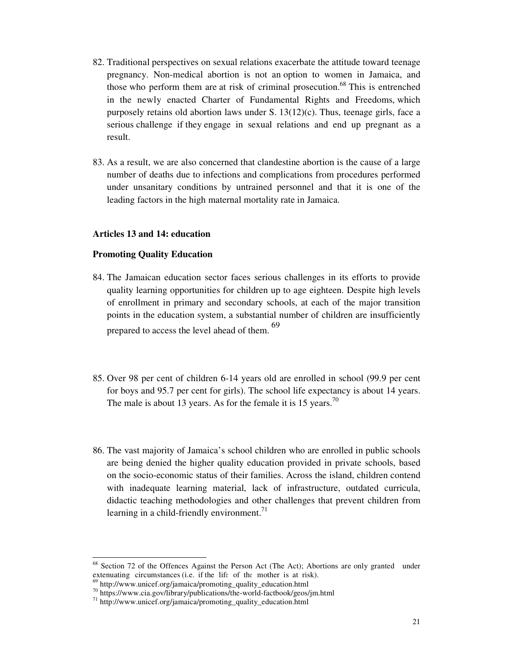- 82. Traditional perspectives on sexual relations exacerbate the attitude toward teenage pregnancy. Non-medical abortion is not an option to women in Jamaica, and those who perform them are at risk of criminal prosecution.<sup>68</sup> This is entrenched in the newly enacted Charter of Fundamental Rights and Freedoms, which purposely retains old abortion laws under S. 13(12)(c). Thus, teenage girls, face a serious challenge if they engage in sexual relations and end up pregnant as a result.
- 83. As a result, we are also concerned that clandestine abortion is the cause of a large number of deaths due to infections and complications from procedures performed under unsanitary conditions by untrained personnel and that it is one of the leading factors in the high maternal mortality rate in Jamaica.

#### **Articles 13 and 14: education**

#### **Promoting Quality Education**

- 84. The Jamaican education sector faces serious challenges in its efforts to provide quality learning opportunities for children up to age eighteen. Despite high levels of enrollment in primary and secondary schools, at each of the major transition points in the education system, a substantial number of children are insufficiently prepared to access the level ahead of them. <sup>69</sup>
- 85. Over 98 per cent of children 6-14 years old are enrolled in school (99.9 per cent for boys and 95.7 per cent for girls). The school life expectancy is about 14 years. The male is about 13 years. As for the female it is 15 years.<sup>70</sup>
- 86. The vast majority of Jamaica's school children who are enrolled in public schools are being denied the higher quality education provided in private schools, based on the socio-economic status of their families. Across the island, children contend with inadequate learning material, lack of infrastructure, outdated curricula, didactic teaching methodologies and other challenges that prevent children from learning in a child-friendly environment.<sup>71</sup>

<sup>68</sup> Section 72 of the Offences Against the Person Act (The Act); Abortions are only granted under extenuating circumstances (i.e. if the life of the mother is at risk).

http://www.unicef.org/jamaica/promoting\_quality\_education.html

<sup>&</sup>lt;sup>70</sup> https://www.cia.gov/library/publications/the-world-factbook/geos/jm.html

<sup>71</sup> http://www.unicef.org/jamaica/promoting\_quality\_education.html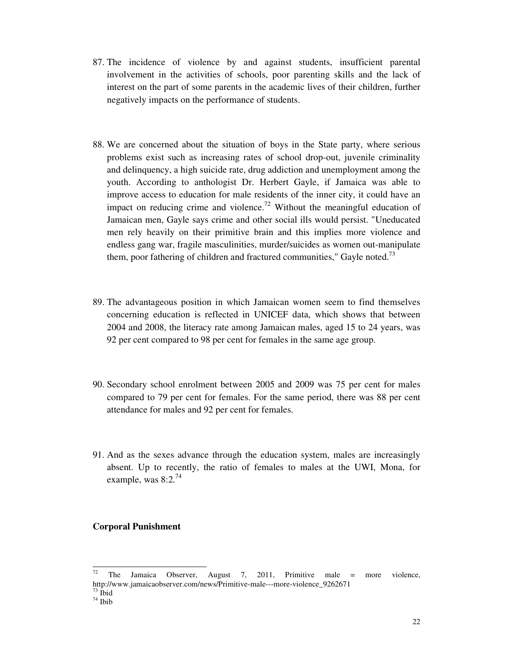- 87. The incidence of violence by and against students, insufficient parental involvement in the activities of schools, poor parenting skills and the lack of interest on the part of some parents in the academic lives of their children, further negatively impacts on the performance of students.
- 88. We are concerned about the situation of boys in the State party, where serious problems exist such as increasing rates of school drop-out, juvenile criminality and delinquency, a high suicide rate, drug addiction and unemployment among the youth. According to anthologist Dr. Herbert Gayle, if Jamaica was able to improve access to education for male residents of the inner city, it could have an impact on reducing crime and violence.<sup>72</sup> Without the meaningful education of Jamaican men, Gayle says crime and other social ills would persist. "Uneducated men rely heavily on their primitive brain and this implies more violence and endless gang war, fragile masculinities, murder/suicides as women out-manipulate them, poor fathering of children and fractured communities," Gayle noted.<sup>73</sup>
- 89. The advantageous position in which Jamaican women seem to find themselves concerning education is reflected in UNICEF data, which shows that between 2004 and 2008, the literacy rate among Jamaican males, aged 15 to 24 years, was 92 per cent compared to 98 per cent for females in the same age group.
- 90. Secondary school enrolment between 2005 and 2009 was 75 per cent for males compared to 79 per cent for females. For the same period, there was 88 per cent attendance for males and 92 per cent for females.
- 91. And as the sexes advance through the education system, males are increasingly absent. Up to recently, the ratio of females to males at the UWI, Mona, for example, was  $8:2.^{74}$

#### **Corporal Punishment**

 $72$ <sup>72</sup> The Jamaica Observer, August 7, 2011, Primitive male = more violence, http://www.jamaicaobserver.com/news/Primitive-male---more-violence\_9262671 <sup>73</sup> Ibid

 $74$  Ibib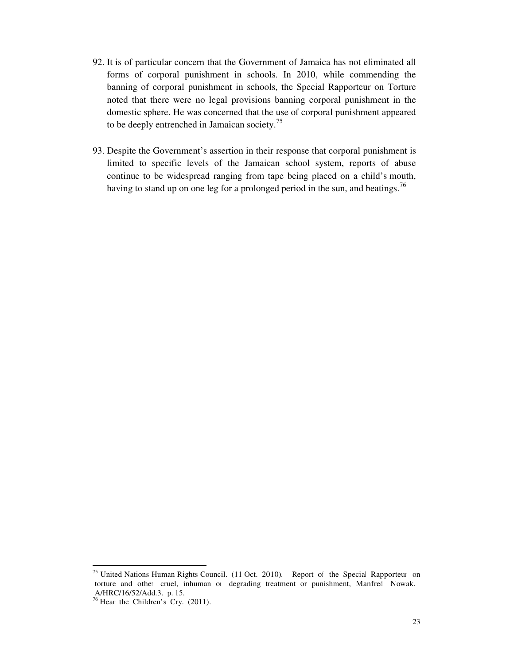- 92. It is of particular concern that the Government of Jamaica has not eliminated all forms of corporal punishment in schools. In 2010, while commending the banning of corporal punishment in schools, the Special Rapporteur on Torture noted that there were no legal provisions banning corporal punishment in the domestic sphere. He was concerned that the use of corporal punishment appeared to be deeply entrenched in Jamaican society.<sup>75</sup>
- 93. Despite the Government's assertion in their response that corporal punishment is limited to specific levels of the Jamaican school system, reports of abuse continue to be widespread ranging from tape being placed on a child's mouth, having to stand up on one leg for a prolonged period in the sun, and beatings.<sup>76</sup>

<sup>&</sup>lt;sup>75</sup> United Nations Human Rights Council. (11 Oct. 2010). Report of the Special Rapporteur on torture and other cruel, inhuman or degrading treatment or punishment, Manfred Nowak. A/HRC/16/52/Add.3. p. 15.

 $76$  Hear the Children's Cry. (2011).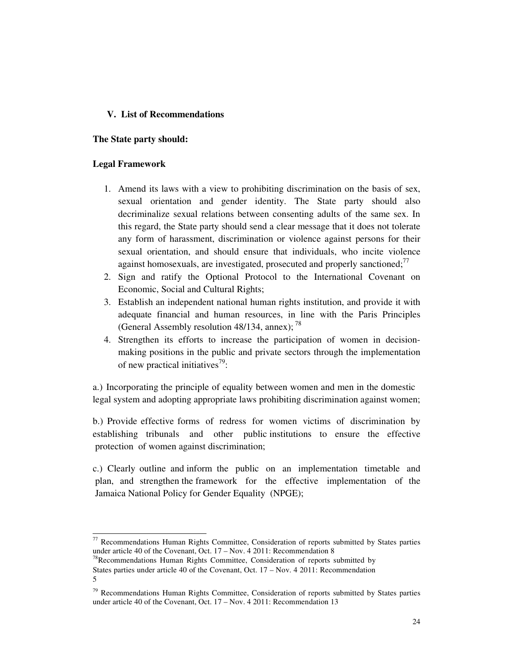### **V. List of Recommendations**

#### **The State party should:**

#### **Legal Framework**

<u>.</u>

- 1. Amend its laws with a view to prohibiting discrimination on the basis of sex, sexual orientation and gender identity. The State party should also decriminalize sexual relations between consenting adults of the same sex. In this regard, the State party should send a clear message that it does not tolerate any form of harassment, discrimination or violence against persons for their sexual orientation, and should ensure that individuals, who incite violence against homosexuals, are investigated, prosecuted and properly sanctioned; $\frac{7}{7}$
- 2. Sign and ratify the Optional Protocol to the International Covenant on Economic, Social and Cultural Rights;
- 3. Establish an independent national human rights institution, and provide it with adequate financial and human resources, in line with the Paris Principles (General Assembly resolution 48/134, annex);  $^{78}$
- 4. Strengthen its efforts to increase the participation of women in decisionmaking positions in the public and private sectors through the implementation of new practical initiatives<sup>79</sup>:

a.) Incorporating the principle of equality between women and men in the domestic legal system and adopting appropriate laws prohibiting discrimination against women;

b.) Provide effective forms of redress for women victims of discrimination by establishing tribunals and other public institutions to ensure the effective protection of women against discrimination;

c.) Clearly outline and inform the public on an implementation timetable and plan, and strengthen the framework for the effective implementation of the Jamaica National Policy for Gender Equality (NPGE);

 $77$  Recommendations Human Rights Committee, Consideration of reports submitted by States parties under article 40 of the Covenant, Oct. 17 – Nov. 4 2011: Recommendation 8

<sup>&</sup>lt;sup>78</sup>Recommendations Human Rights Committee, Consideration of reports submitted by States parties under article 40 of the Covenant, Oct. 17 – Nov. 4 2011: Recommendation 5

 $79$  Recommendations Human Rights Committee, Consideration of reports submitted by States parties under article 40 of the Covenant, Oct. 17 – Nov. 4 2011: Recommendation 13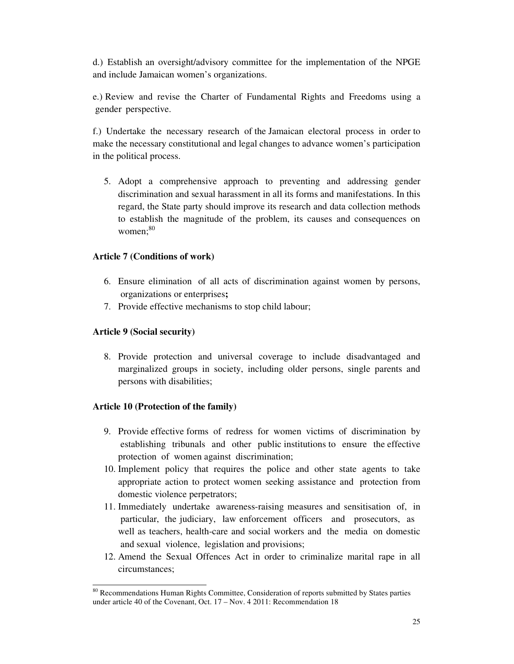d.) Establish an oversight/advisory committee for the implementation of the NPGE and include Jamaican women's organizations.

e.) Review and revise the Charter of Fundamental Rights and Freedoms using a gender perspective.

f.) Undertake the necessary research of the Jamaican electoral process in order to make the necessary constitutional and legal changes to advance women's participation in the political process.

5. Adopt a comprehensive approach to preventing and addressing gender discrimination and sexual harassment in all its forms and manifestations. In this regard, the State party should improve its research and data collection methods to establish the magnitude of the problem, its causes and consequences on women:<sup>80</sup>

## **Article 7 (Conditions of work)**

- 6. Ensure elimination of all acts of discrimination against women by persons, organizations or enterprises**;**
- 7. Provide effective mechanisms to stop child labour;

## **Article 9 (Social security)**

8. Provide protection and universal coverage to include disadvantaged and marginalized groups in society, including older persons, single parents and persons with disabilities;

#### **Article 10 (Protection of the family)**

- 9. Provide effective forms of redress for women victims of discrimination by establishing tribunals and other public institutions to ensure the effective protection of women against discrimination;
- 10. Implement policy that requires the police and other state agents to take appropriate action to protect women seeking assistance and protection from domestic violence perpetrators;
- 11. Immediately undertake awareness-raising measures and sensitisation of, in particular, the judiciary, law enforcement officers and prosecutors, as well as teachers, health-care and social workers and the media on domestic and sexual violence, legislation and provisions;
- 12. Amend the Sexual Offences Act in order to criminalize marital rape in all circumstances;

<sup>&</sup>lt;u>.</u> <sup>80</sup> Recommendations Human Rights Committee, Consideration of reports submitted by States parties under article 40 of the Covenant, Oct. 17 – Nov. 4 2011: Recommendation 18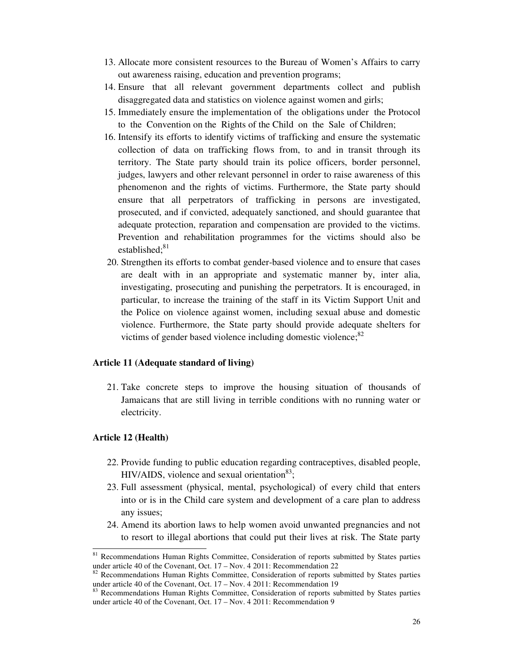- 13. Allocate more consistent resources to the Bureau of Women's Affairs to carry out awareness raising, education and prevention programs;
- 14. Ensure that all relevant government departments collect and publish disaggregated data and statistics on violence against women and girls;
- 15. Immediately ensure the implementation of the obligations under the Protocol to the Convention on the Rights of the Child on the Sale of Children;
- 16. Intensify its efforts to identify victims of trafficking and ensure the systematic collection of data on trafficking flows from, to and in transit through its territory. The State party should train its police officers, border personnel, judges, lawyers and other relevant personnel in order to raise awareness of this phenomenon and the rights of victims. Furthermore, the State party should ensure that all perpetrators of trafficking in persons are investigated, prosecuted, and if convicted, adequately sanctioned, and should guarantee that adequate protection, reparation and compensation are provided to the victims. Prevention and rehabilitation programmes for the victims should also be established:<sup>81</sup>
- 20. Strengthen its efforts to combat gender-based violence and to ensure that cases are dealt with in an appropriate and systematic manner by, inter alia, investigating, prosecuting and punishing the perpetrators. It is encouraged, in particular, to increase the training of the staff in its Victim Support Unit and the Police on violence against women, including sexual abuse and domestic violence. Furthermore, the State party should provide adequate shelters for victims of gender based violence including domestic violence; $^{82}$

#### **Article 11 (Adequate standard of living)**

21. Take concrete steps to improve the housing situation of thousands of Jamaicans that are still living in terrible conditions with no running water or electricity.

#### **Article 12 (Health)**

- 22. Provide funding to public education regarding contraceptives, disabled people, HIV/AIDS, violence and sexual orientation $83$ ;
- 23. Full assessment (physical, mental, psychological) of every child that enters into or is in the Child care system and development of a care plan to address any issues;
- 24. Amend its abortion laws to help women avoid unwanted pregnancies and not to resort to illegal abortions that could put their lives at risk. The State party

<sup>&</sup>lt;sup>81</sup> Recommendations Human Rights Committee, Consideration of reports submitted by States parties under article 40 of the Covenant, Oct. 17 – Nov. 4 2011: Recommendation 22

 $82$  Recommendations Human Rights Committee, Consideration of reports submitted by States parties under article 40 of the Covenant, Oct. 17 – Nov. 4 2011: Recommendation 19

<sup>&</sup>lt;sup>8</sup> Recommendations Human Rights Committee, Consideration of reports submitted by States parties under article 40 of the Covenant, Oct. 17 – Nov. 4 2011: Recommendation 9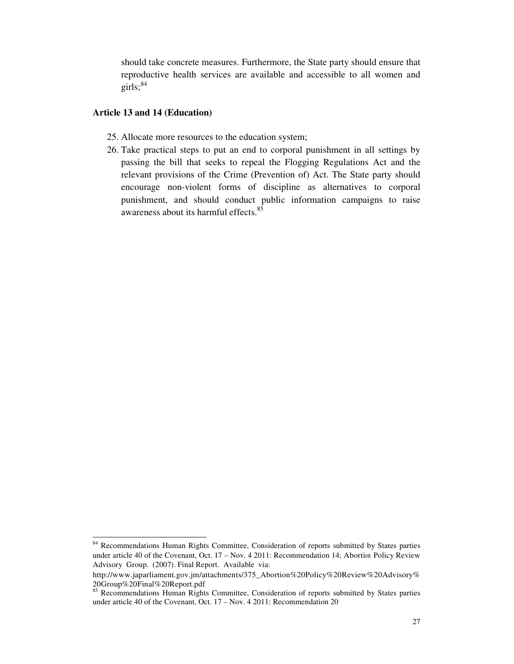should take concrete measures. Furthermore, the State party should ensure that reproductive health services are available and accessible to all women and girls;  $84$ 

#### **Article 13 and 14 (Education)**

- 25. Allocate more resources to the education system;
- 26. Take practical steps to put an end to corporal punishment in all settings by passing the bill that seeks to repeal the Flogging Regulations Act and the relevant provisions of the Crime (Prevention of) Act. The State party should encourage non-violent forms of discipline as alternatives to corporal punishment, and should conduct public information campaigns to raise awareness about its harmful effects.<sup>85</sup>

<sup>&</sup>lt;sup>84</sup> Recommendations Human Rights Committee, Consideration of reports submitted by States parties under article 40 of the Covenant, Oct. 17 – Nov. 4 2011: Recommendation 14; Abortion Policy Review Advisory Group. (2007). Final Report. Available via:

http://www.japarliament.gov.jm/attachments/375\_Abortion%20Policy%20Review%20Advisory% 20Group%20Final%20Report.pdf

<sup>85</sup> Recommendations Human Rights Committee, Consideration of reports submitted by States parties under article 40 of the Covenant, Oct. 17 – Nov. 4 2011: Recommendation 20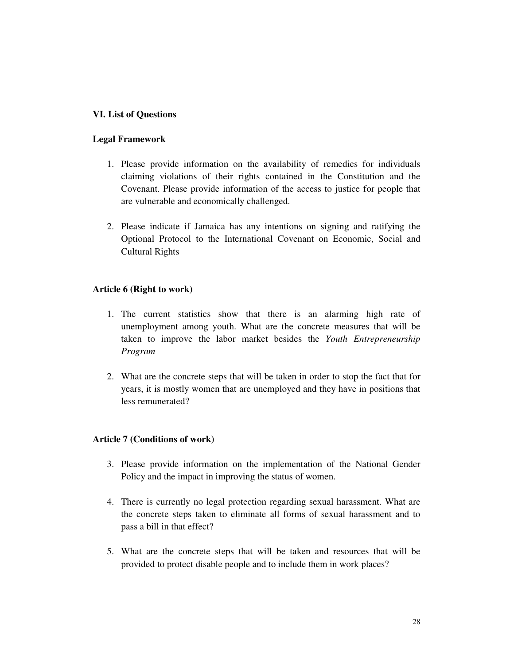## **VI. List of Questions**

#### **Legal Framework**

- 1. Please provide information on the availability of remedies for individuals claiming violations of their rights contained in the Constitution and the Covenant. Please provide information of the access to justice for people that are vulnerable and economically challenged.
- 2. Please indicate if Jamaica has any intentions on signing and ratifying the Optional Protocol to the International Covenant on Economic, Social and Cultural Rights

#### **Article 6 (Right to work)**

- 1. The current statistics show that there is an alarming high rate of unemployment among youth. What are the concrete measures that will be taken to improve the labor market besides the *Youth Entrepreneurship Program*
- 2. What are the concrete steps that will be taken in order to stop the fact that for years, it is mostly women that are unemployed and they have in positions that less remunerated?

#### **Article 7 (Conditions of work)**

- 3. Please provide information on the implementation of the National Gender Policy and the impact in improving the status of women.
- 4. There is currently no legal protection regarding sexual harassment. What are the concrete steps taken to eliminate all forms of sexual harassment and to pass a bill in that effect?
- 5. What are the concrete steps that will be taken and resources that will be provided to protect disable people and to include them in work places?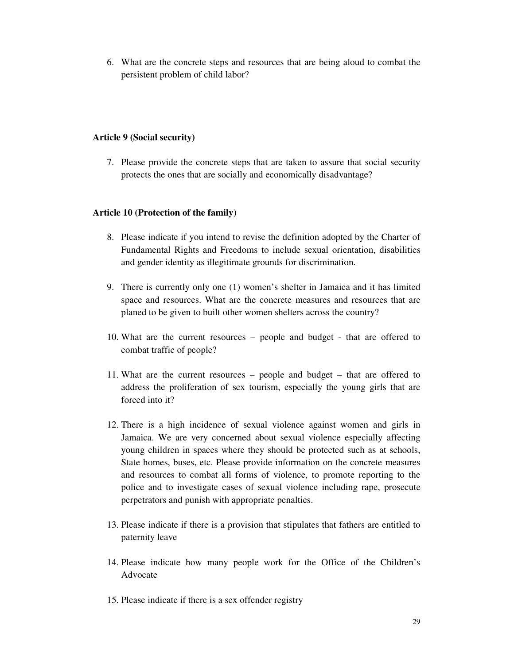6. What are the concrete steps and resources that are being aloud to combat the persistent problem of child labor?

#### **Article 9 (Social security)**

7. Please provide the concrete steps that are taken to assure that social security protects the ones that are socially and economically disadvantage?

## **Article 10 (Protection of the family)**

- 8. Please indicate if you intend to revise the definition adopted by the Charter of Fundamental Rights and Freedoms to include sexual orientation, disabilities and gender identity as illegitimate grounds for discrimination.
- 9. There is currently only one (1) women's shelter in Jamaica and it has limited space and resources. What are the concrete measures and resources that are planed to be given to built other women shelters across the country?
- 10. What are the current resources people and budget that are offered to combat traffic of people?
- 11. What are the current resources people and budget that are offered to address the proliferation of sex tourism, especially the young girls that are forced into it?
- 12. There is a high incidence of sexual violence against women and girls in Jamaica. We are very concerned about sexual violence especially affecting young children in spaces where they should be protected such as at schools, State homes, buses, etc. Please provide information on the concrete measures and resources to combat all forms of violence, to promote reporting to the police and to investigate cases of sexual violence including rape, prosecute perpetrators and punish with appropriate penalties.
- 13. Please indicate if there is a provision that stipulates that fathers are entitled to paternity leave
- 14. Please indicate how many people work for the Office of the Children's Advocate
- 15. Please indicate if there is a sex offender registry